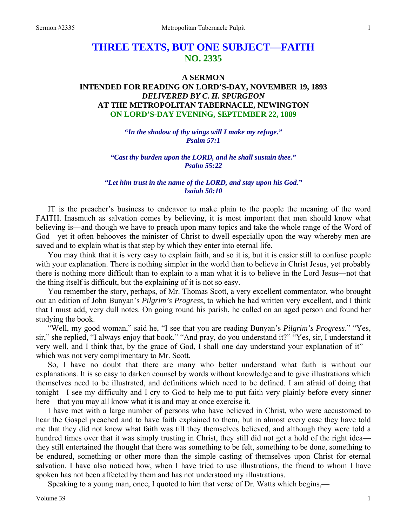# **THREE TEXTS, BUT ONE SUBJECT—FAITH NO. 2335**

## **A SERMON**

## **INTENDED FOR READING ON LORD'S-DAY, NOVEMBER 19, 1893**  *DELIVERED BY C. H. SPURGEON*  **AT THE METROPOLITAN TABERNACLE, NEWINGTON ON LORD'S-DAY EVENING, SEPTEMBER 22, 1889**

*"In the shadow of thy wings will I make my refuge." Psalm 57:1* 

*"Cast thy burden upon the LORD, and he shall sustain thee." Psalm 55:22* 

*"Let him trust in the name of the LORD, and stay upon his God." Isaiah 50:10* 

IT is the preacher's business to endeavor to make plain to the people the meaning of the word FAITH. Inasmuch as salvation comes by believing, it is most important that men should know what believing is—and though we have to preach upon many topics and take the whole range of the Word of God—yet it often behooves the minister of Christ to dwell especially upon the way whereby men are saved and to explain what is that step by which they enter into eternal life.

You may think that it is very easy to explain faith, and so it is, but it is easier still to confuse people with your explanation. There is nothing simpler in the world than to believe in Christ Jesus, yet probably there is nothing more difficult than to explain to a man what it is to believe in the Lord Jesus—not that the thing itself is difficult, but the explaining of it is not so easy.

You remember the story, perhaps, of Mr. Thomas Scott, a very excellent commentator, who brought out an edition of John Bunyan's *Pilgrim's Progress*, to which he had written very excellent, and I think that I must add, very dull notes. On going round his parish, he called on an aged person and found her studying the book.

"Well, my good woman," said he, "I see that you are reading Bunyan's *Pilgrim's Progress*." "Yes, sir," she replied, "I always enjoy that book." "And pray, do you understand it?" "Yes, sir, I understand it very well, and I think that, by the grace of God, I shall one day understand your explanation of it" which was not very complimentary to Mr. Scott.

So, I have no doubt that there are many who better understand what faith is without our explanations. It is so easy to darken counsel by words without knowledge and to give illustrations which themselves need to be illustrated, and definitions which need to be defined. I am afraid of doing that tonight—I see my difficulty and I cry to God to help me to put faith very plainly before every sinner here—that you may all know what it is and may at once exercise it.

I have met with a large number of persons who have believed in Christ, who were accustomed to hear the Gospel preached and to have faith explained to them, but in almost every case they have told me that they did not know what faith was till they themselves believed, and although they were told a hundred times over that it was simply trusting in Christ, they still did not get a hold of the right idea they still entertained the thought that there was something to be felt, something to be done, something to be endured, something or other more than the simple casting of themselves upon Christ for eternal salvation. I have also noticed how, when I have tried to use illustrations, the friend to whom I have spoken has not been affected by them and has not understood my illustrations.

Speaking to a young man, once, I quoted to him that verse of Dr. Watts which begins,—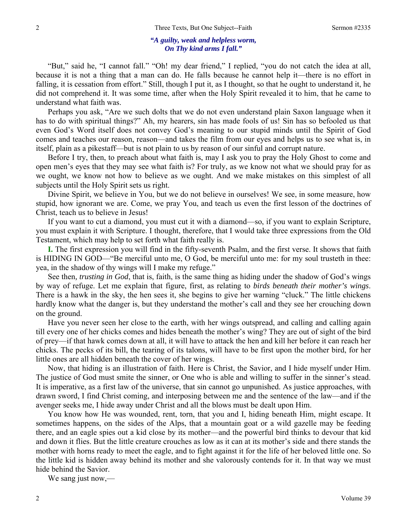#### *"A guilty, weak and helpless worm, On Thy kind arms I fall."*

"But," said he, "I cannot fall." "Oh! my dear friend," I replied, "you do not catch the idea at all, because it is not a thing that a man can do. He falls because he cannot help it—there is no effort in falling, it is cessation from effort." Still, though I put it, as I thought, so that he ought to understand it, he did not comprehend it. It was some time, after when the Holy Spirit revealed it to him, that he came to understand what faith was.

Perhaps you ask, "Are we such dolts that we do not even understand plain Saxon language when it has to do with spiritual things?" Ah, my hearers, sin has made fools of us! Sin has so befooled us that even God's Word itself does not convey God's meaning to our stupid minds until the Spirit of God comes and teaches our reason, reason—and takes the film from our eyes and helps us to see what is, in itself, plain as a pikestaff—but is not plain to us by reason of our sinful and corrupt nature.

Before I try, then, to preach about what faith is, may I ask you to pray the Holy Ghost to come and open men's eyes that they may see what faith is? For truly, as we know not what we should pray for as we ought, we know not how to believe as we ought. And we make mistakes on this simplest of all subjects until the Holy Spirit sets us right.

Divine Spirit, we believe in You, but we do not believe in ourselves! We see, in some measure, how stupid, how ignorant we are. Come, we pray You, and teach us even the first lesson of the doctrines of Christ, teach us to believe in Jesus!

If you want to cut a diamond, you must cut it with a diamond—so, if you want to explain Scripture, you must explain it with Scripture. I thought, therefore, that I would take three expressions from the Old Testament, which may help to set forth what faith really is.

**I.** The first expression you will find in the fifty-seventh Psalm, and the first verse. It shows that faith is HIDING IN GOD—"Be merciful unto me, O God, be merciful unto me: for my soul trusteth in thee: yea, in the shadow of thy wings will I make my refuge."

See then*, trusting in God*, that is, faith, is the same thing as hiding under the shadow of God's wings by way of refuge. Let me explain that figure, first, as relating to *birds beneath their mother's wings*. There is a hawk in the sky, the hen sees it, she begins to give her warning "cluck." The little chickens hardly know what the danger is, but they understand the mother's call and they see her crouching down on the ground.

Have you never seen her close to the earth, with her wings outspread, and calling and calling again till every one of her chicks comes and hides beneath the mother's wing? They are out of sight of the bird of prey—if that hawk comes down at all, it will have to attack the hen and kill her before it can reach her chicks. The pecks of its bill, the tearing of its talons, will have to be first upon the mother bird, for her little ones are all hidden beneath the cover of her wings.

Now, that hiding is an illustration of faith. Here is Christ, the Savior, and I hide myself under Him. The justice of God must smite the sinner, or One who is able and willing to suffer in the sinner's stead. It is imperative, as a first law of the universe, that sin cannot go unpunished. As justice approaches, with drawn sword, I find Christ coming, and interposing between me and the sentence of the law—and if the avenger seeks me, I hide away under Christ and all the blows must be dealt upon Him.

You know how He was wounded, rent, torn, that you and I, hiding beneath Him, might escape. It sometimes happens, on the sides of the Alps, that a mountain goat or a wild gazelle may be feeding there, and an eagle spies out a kid close by its mother—and the powerful bird thinks to devour that kid and down it flies. But the little creature crouches as low as it can at its mother's side and there stands the mother with horns ready to meet the eagle, and to fight against it for the life of her beloved little one. So the little kid is hidden away behind its mother and she valorously contends for it. In that way we must hide behind the Savior.

We sang just now,—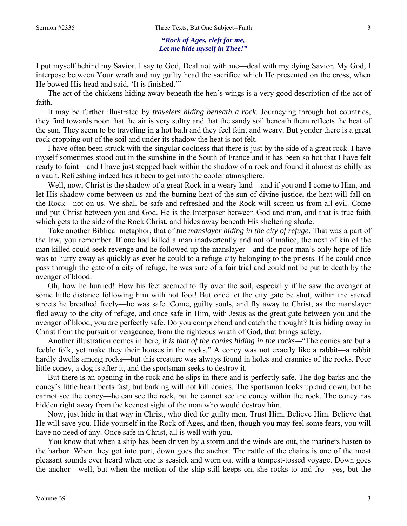#### *"Rock of Ages, cleft for me, Let me hide myself in Thee!"*

I put myself behind my Savior. I say to God, Deal not with me—deal with my dying Savior. My God, I interpose between Your wrath and my guilty head the sacrifice which He presented on the cross, when He bowed His head and said, 'It is finished.'"

The act of the chickens hiding away beneath the hen's wings is a very good description of the act of faith.

It may be further illustrated by *travelers hiding beneath a rock*. Journeying through hot countries, they find towards noon that the air is very sultry and that the sandy soil beneath them reflects the heat of the sun. They seem to be traveling in a hot bath and they feel faint and weary. But yonder there is a great rock cropping out of the soil and under its shadow the heat is not felt.

I have often been struck with the singular coolness that there is just by the side of a great rock. I have myself sometimes stood out in the sunshine in the South of France and it has been so hot that I have felt ready to faint—and I have just stepped back within the shadow of a rock and found it almost as chilly as a vault. Refreshing indeed has it been to get into the cooler atmosphere.

Well, now, Christ is the shadow of a great Rock in a weary land—and if you and I come to Him, and let His shadow come between us and the burning heat of the sun of divine justice, the heat will fall on the Rock—not on us. We shall be safe and refreshed and the Rock will screen us from all evil. Come and put Christ between you and God. He is the Interposer between God and man, and that is true faith which gets to the side of the Rock Christ, and hides away beneath His sheltering shade.

Take another Biblical metaphor, that of *the manslayer hiding in the city of refuge*. That was a part of the law, you remember. If one had killed a man inadvertently and not of malice, the next of kin of the man killed could seek revenge and he followed up the manslayer—and the poor man's only hope of life was to hurry away as quickly as ever he could to a refuge city belonging to the priests. If he could once pass through the gate of a city of refuge, he was sure of a fair trial and could not be put to death by the avenger of blood.

Oh, how he hurried! How his feet seemed to fly over the soil, especially if he saw the avenger at some little distance following him with hot foot! But once let the city gate be shut, within the sacred streets he breathed freely—he was safe. Come, guilty souls, and fly away to Christ, as the manslayer fled away to the city of refuge, and once safe in Him, with Jesus as the great gate between you and the avenger of blood, you are perfectly safe. Do you comprehend and catch the thought? It is hiding away in Christ from the pursuit of vengeance, from the righteous wrath of God, that brings safety.

Another illustration comes in here, *it is that of the conies hiding in the rocks—*"The conies are but a feeble folk, yet make they their houses in the rocks." A coney was not exactly like a rabbit—a rabbit hardly dwells among rocks—but this creature was always found in holes and crannies of the rocks. Poor little coney, a dog is after it, and the sportsman seeks to destroy it.

But there is an opening in the rock and he slips in there and is perfectly safe. The dog barks and the coney's little heart beats fast, but barking will not kill conies. The sportsman looks up and down, but he cannot see the coney—he can see the rock, but he cannot see the coney within the rock. The coney has hidden right away from the keenest sight of the man who would destroy him.

Now, just hide in that way in Christ, who died for guilty men. Trust Him. Believe Him. Believe that He will save you. Hide yourself in the Rock of Ages, and then, though you may feel some fears, you will have no need of any. Once safe in Christ, all is well with you.

You know that when a ship has been driven by a storm and the winds are out, the mariners hasten to the harbor. When they got into port, down goes the anchor. The rattle of the chains is one of the most pleasant sounds ever heard when one is seasick and worn out with a tempest-tossed voyage. Down goes the anchor—well, but when the motion of the ship still keeps on, she rocks to and fro—yes, but the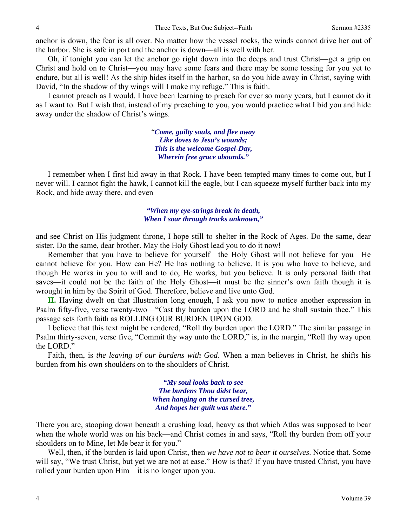anchor is down, the fear is all over. No matter how the vessel rocks, the winds cannot drive her out of the harbor. She is safe in port and the anchor is down—all is well with her.

Oh, if tonight you can let the anchor go right down into the deeps and trust Christ—get a grip on Christ and hold on to Christ—you may have some fears and there may be some tossing for you yet to endure, but all is well! As the ship hides itself in the harbor, so do you hide away in Christ, saying with David, "In the shadow of thy wings will I make my refuge." This is faith.

I cannot preach as I would. I have been learning to preach for ever so many years, but I cannot do it as I want to. But I wish that, instead of my preaching to you, you would practice what I bid you and hide away under the shadow of Christ's wings.

> "*Come, guilty souls, and flee away Like doves to Jesu's wounds; This is the welcome Gospel-Day, Wherein free grace abounds."*

I remember when I first hid away in that Rock. I have been tempted many times to come out, but I never will. I cannot fight the hawk, I cannot kill the eagle, but I can squeeze myself further back into my Rock, and hide away there, and even—

> *"When my eye-strings break in death, When I soar through tracks unknown,"*

and see Christ on His judgment throne, I hope still to shelter in the Rock of Ages. Do the same, dear sister. Do the same, dear brother. May the Holy Ghost lead you to do it now!

Remember that you have to believe for yourself—the Holy Ghost will not believe for you—He cannot believe for you. How can He? He has nothing to believe. It is you who have to believe, and though He works in you to will and to do, He works, but you believe. It is only personal faith that saves—it could not be the faith of the Holy Ghost—it must be the sinner's own faith though it is wrought in him by the Spirit of God. Therefore, believe and live unto God.

**II.** Having dwelt on that illustration long enough, I ask you now to notice another expression in Psalm fifty-five, verse twenty-two—"Cast thy burden upon the LORD and he shall sustain thee." This passage sets forth faith as ROLLING OUR BURDEN UPON GOD.

I believe that this text might be rendered, "Roll thy burden upon the LORD." The similar passage in Psalm thirty-seven, verse five, "Commit thy way unto the LORD," is, in the margin, "Roll thy way upon the LORD."

Faith, then, is *the leaving of our burdens with God*. When a man believes in Christ, he shifts his burden from his own shoulders on to the shoulders of Christ.

> *"My soul looks back to see The burdens Thou didst bear, When hanging on the cursed tree, And hopes her guilt was there."*

There you are, stooping down beneath a crushing load, heavy as that which Atlas was supposed to bear when the whole world was on his back—and Christ comes in and says, "Roll thy burden from off your shoulders on to Mine, let Me bear it for you."

Well, then, if the burden is laid upon Christ, then *we have not to bear it ourselves*. Notice that. Some will say, "We trust Christ, but yet we are not at ease." How is that? If you have trusted Christ, you have rolled your burden upon Him—it is no longer upon you.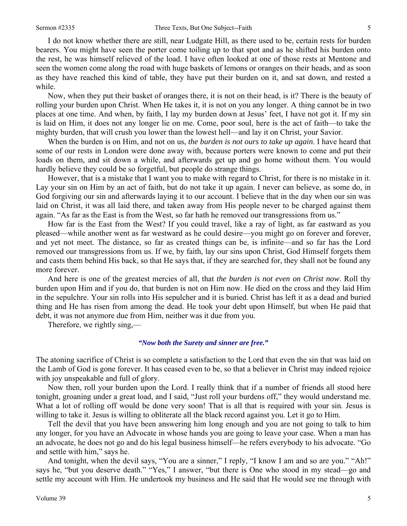I do not know whether there are still, near Ludgate Hill, as there used to be, certain rests for burden bearers. You might have seen the porter come toiling up to that spot and as he shifted his burden onto the rest, he was himself relieved of the load. I have often looked at one of those rests at Mentone and seen the women come along the road with huge baskets of lemons or oranges on their heads, and as soon as they have reached this kind of table, they have put their burden on it, and sat down, and rested a while.

Now, when they put their basket of oranges there, it is not on their head, is it? There is the beauty of rolling your burden upon Christ. When He takes it, it is not on you any longer. A thing cannot be in two places at one time. And when, by faith, I lay my burden down at Jesus' feet, I have not got it. If my sin is laid on Him, it does not any longer lie on me. Come, poor soul, here is the act of faith—to take the mighty burden, that will crush you lower than the lowest hell—and lay it on Christ, your Savior.

When the burden is on Him, and not on us, *the burden is not ours to take up again*. I have heard that some of our rests in London were done away with, because porters were known to come and put their loads on them, and sit down a while, and afterwards get up and go home without them. You would hardly believe they could be so forgetful, but people do strange things.

However, that is a mistake that I want you to make with regard to Christ, for there is no mistake in it. Lay your sin on Him by an act of faith, but do not take it up again. I never can believe, as some do, in God forgiving our sin and afterwards laying it to our account. I believe that in the day when our sin was laid on Christ, it was all laid there, and taken away from His people never to be charged against them again. "As far as the East is from the West, so far hath he removed our transgressions from us."

How far is the East from the West? If you could travel, like a ray of light, as far eastward as you pleased—while another went as far westward as he could desire—you might go on forever and forever, and yet not meet. The distance, so far as created things can be, is infinite—and so far has the Lord removed our transgressions from us. If we, by faith, lay our sins upon Christ, God Himself forgets them and casts them behind His back, so that He says that, if they are searched for, they shall not be found any more forever.

And here is one of the greatest mercies of all, that *the burden is not even on Christ now*. Roll thy burden upon Him and if you do, that burden is not on Him now. He died on the cross and they laid Him in the sepulchre. Your sin rolls into His sepulcher and it is buried. Christ has left it as a dead and buried thing and He has risen from among the dead. He took your debt upon Himself, but when He paid that debt, it was not anymore due from Him, neither was it due from you.

Therefore, we rightly sing,—

#### *"Now both the Surety and sinner are free."*

The atoning sacrifice of Christ is so complete a satisfaction to the Lord that even the sin that was laid on the Lamb of God is gone forever. It has ceased even to be, so that a believer in Christ may indeed rejoice with joy unspeakable and full of glory.

Now then, roll your burden upon the Lord. I really think that if a number of friends all stood here tonight, groaning under a great load, and I said, "Just roll your burdens off," they would understand me. What a lot of rolling off would be done very soon! That is all that is required with your sin. Jesus is willing to take it. Jesus is willing to obliterate all the black record against you. Let it go to Him.

Tell the devil that you have been answering him long enough and you are not going to talk to him any longer, for you have an Advocate in whose hands you are going to leave your case. When a man has an advocate, he does not go and do his legal business himself—he refers everybody to his advocate. "Go and settle with him," says he.

And tonight, when the devil says, "You are a sinner," I reply, "I know I am and so are you." "Ah!" says he, "but you deserve death." "Yes," I answer, "but there is One who stood in my stead—go and settle my account with Him. He undertook my business and He said that He would see me through with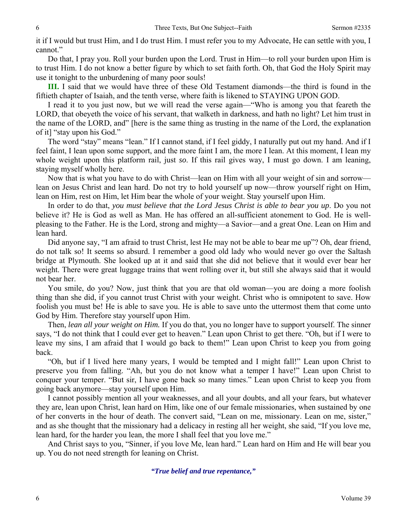it if I would but trust Him, and I do trust Him. I must refer you to my Advocate, He can settle with you, I cannot."

Do that, I pray you. Roll your burden upon the Lord. Trust in Him—to roll your burden upon Him is to trust Him. I do not know a better figure by which to set faith forth. Oh, that God the Holy Spirit may use it tonight to the unburdening of many poor souls!

**III.** I said that we would have three of these Old Testament diamonds—the third is found in the fiftieth chapter of Isaiah, and the tenth verse, where faith is likened to STAYING UPON GOD.

I read it to you just now, but we will read the verse again—"Who is among you that feareth the LORD, that obeyeth the voice of his servant, that walketh in darkness, and hath no light? Let him trust in the name of the LORD, and" [here is the same thing as trusting in the name of the Lord, the explanation of it] "stay upon his God."

The word "stay" means "lean." If I cannot stand, if I feel giddy, I naturally put out my hand. And if I feel faint, I lean upon some support, and the more faint I am, the more I lean. At this moment, I lean my whole weight upon this platform rail, just *so*. If this rail gives way, I must go down. I am leaning, staying myself wholly here.

Now that is what you have to do with Christ—lean on Him with all your weight of sin and sorrow lean on Jesus Christ and lean hard. Do not try to hold yourself up now—throw yourself right on Him, lean on Him, rest on Him, let Him bear the whole of your weight. Stay yourself upon Him.

In order to do that, *you must believe that the Lord Jesus Christ is able to bear you up*. Do you not believe it? He is God as well as Man. He has offered an all-sufficient atonement to God. He is wellpleasing to the Father. He is the Lord, strong and mighty—a Savior—and a great One. Lean on Him and lean hard.

Did anyone say, "I am afraid to trust Christ, lest He may not be able to bear me up"? Oh, dear friend, do not talk so! It seems so absurd. I remember a good old lady who would never go over the Saltash bridge at Plymouth. She looked up at it and said that she did not believe that it would ever bear her weight. There were great luggage trains that went rolling over it, but still she always said that it would not bear her.

You smile, do you? Now, just think that you are that old woman—you are doing a more foolish thing than she did, if you cannot trust Christ with your weight. Christ who is omnipotent to save. How foolish you must be! He is able to save you. He is able to save unto the uttermost them that come unto God by Him. Therefore stay yourself upon Him.

Then, *lean all your weight on Him.* If you do that, you no longer have to support yourself. The sinner says, "I do not think that I could ever get to heaven." Lean upon Christ to get there. "Oh, but if I were to leave my sins, I am afraid that I would go back to them!" Lean upon Christ to keep you from going back.

"Oh, but if I lived here many years, I would be tempted and I might fall!" Lean upon Christ to preserve you from falling. "Ah, but you do not know what a temper I have!" Lean upon Christ to conquer your temper. "But sir, I have gone back so many times." Lean upon Christ to keep you from going back anymore—stay yourself upon Him.

I cannot possibly mention all your weaknesses, and all your doubts, and all your fears, but whatever they are, lean upon Christ, lean hard on Him, like one of our female missionaries, when sustained by one of her converts in the hour of death. The convert said, "Lean on me, missionary. Lean on me, sister," and as she thought that the missionary had a delicacy in resting all her weight, she said, "If you love me, lean hard, for the harder you lean, the more I shall feel that you love me."

And Christ says to you, "Sinner, if you love Me, lean hard." Lean hard on Him and He will bear you up. You do not need strength for leaning on Christ.

## *"True belief and true repentance,"*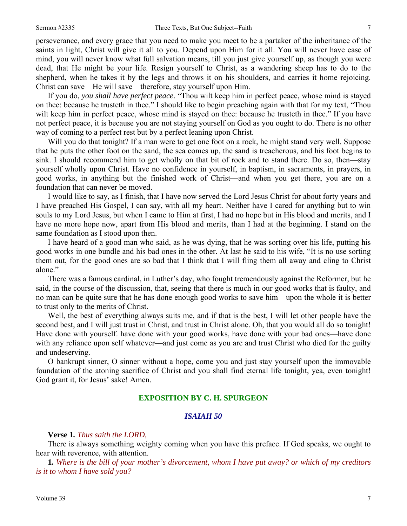perseverance, and every grace that you need to make you meet to be a partaker of the inheritance of the saints in light, Christ will give it all to you. Depend upon Him for it all. You will never have ease of mind, you will never know what full salvation means, till you just give yourself up, as though you were dead, that He might be your life. Resign yourself to Christ, as a wandering sheep has to do to the shepherd, when he takes it by the legs and throws it on his shoulders, and carries it home rejoicing. Christ can save—He will save—therefore, stay yourself upon Him.

If you do, *you shall have perfect peace*. "Thou wilt keep him in perfect peace, whose mind is stayed on thee: because he trusteth in thee." I should like to begin preaching again with that for my text, "Thou wilt keep him in perfect peace, whose mind is stayed on thee: because he trusteth in thee." If you have not perfect peace, it is because you are not staying yourself on God as you ought to do. There is no other way of coming to a perfect rest but by a perfect leaning upon Christ.

Will you do that tonight? If a man were to get one foot on a rock, he might stand very well. Suppose that he puts the other foot on the sand, the sea comes up, the sand is treacherous, and his foot begins to sink. I should recommend him to get wholly on that bit of rock and to stand there. Do so, then—stay yourself wholly upon Christ. Have no confidence in yourself, in baptism, in sacraments, in prayers, in good works, in anything but the finished work of Christ—and when you get there, you are on a foundation that can never be moved.

I would like to say, as I finish, that I have now served the Lord Jesus Christ for about forty years and I have preached His Gospel, I can say, with all my heart. Neither have I cared for anything but to win souls to my Lord Jesus, but when I came to Him at first, I had no hope but in His blood and merits, and I have no more hope now, apart from His blood and merits, than I had at the beginning. I stand on the same foundation as I stood upon then.

I have heard of a good man who said, as he was dying, that he was sorting over his life, putting his good works in one bundle and his bad ones in the other. At last he said to his wife, "It is no use sorting them out, for the good ones are so bad that I think that I will fling them all away and cling to Christ alone."

There was a famous cardinal, in Luther's day, who fought tremendously against the Reformer, but he said, in the course of the discussion, that, seeing that there is much in our good works that is faulty, and no man can be quite sure that he has done enough good works to save him—upon the whole it is better to trust only to the merits of Christ.

Well, the best of everything always suits me, and if that is the best, I will let other people have the second best, and I will just trust in Christ, and trust in Christ alone. Oh, that you would all do so tonight! Have done with yourself. have done with your good works, have done with your bad ones—have done with any reliance upon self whatever—and just come as you are and trust Christ who died for the guilty and undeserving.

O bankrupt sinner, O sinner without a hope, come you and just stay yourself upon the immovable foundation of the atoning sacrifice of Christ and you shall find eternal life tonight, yea, even tonight! God grant it, for Jesus' sake! Amen.

#### **EXPOSITION BY C. H. SPURGEON**

#### *ISAIAH 50*

**Verse 1***. Thus saith the LORD,*

There is always something weighty coming when you have this preface. If God speaks, we ought to hear with reverence, with attention.

**1***. Where is the bill of your mother's divorcement, whom I have put away? or which of my creditors is it to whom I have sold you?*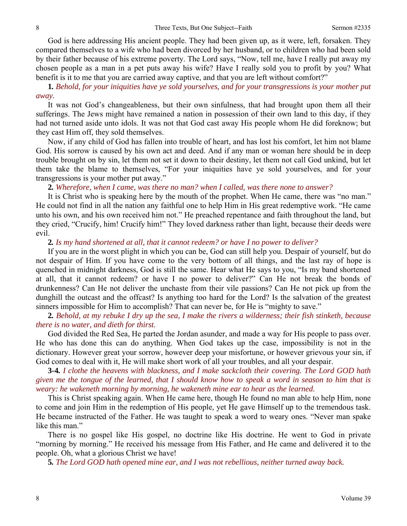God is here addressing His ancient people. They had been given up, as it were, left, forsaken. They compared themselves to a wife who had been divorced by her husband, or to children who had been sold by their father because of his extreme poverty. The Lord says, "Now, tell me, have I really put away my chosen people as a man in a pet puts away his wife? Have I really sold you to profit by you? What benefit is it to me that you are carried away captive, and that you are left without comfort?"

**1***. Behold, for your iniquities have ye sold yourselves, and for your transgressions is your mother put away.*

It was not God's changeableness, but their own sinfulness, that had brought upon them all their sufferings. The Jews might have remained a nation in possession of their own land to this day, if they had not turned aside unto idols. It was not that God cast away His people whom He did foreknow; but they cast Him off, they sold themselves.

Now, if any child of God has fallen into trouble of heart, and has lost his comfort, let him not blame God. His sorrow is caused by his own act and deed. And if any man or woman here should be in deep trouble brought on by sin, let them not set it down to their destiny, let them not call God unkind, but let them take the blame to themselves, "For your iniquities have ye sold yourselves, and for your transgressions is your mother put away."

**2***. Wherefore, when I came, was there no man? when I called, was there none to answer?*

It is Christ who is speaking here by the mouth of the prophet. When He came, there was "no man." He could not find in all the nation any faithful one to help Him in His great redemptive work. "He came unto his own, and his own received him not." He preached repentance and faith throughout the land, but they cried, "Crucify, him! Crucify him!" They loved darkness rather than light, because their deeds were evil.

#### **2***. Is my hand shortened at all, that it cannot redeem? or have I no power to deliver?*

If you are in the worst plight in which you can be, God can still help you. Despair of yourself, but do not despair of Him. If you have come to the very bottom of all things, and the last ray of hope is quenched in midnight darkness, God is still the same. Hear what He says to you, "Is my band shortened at all, that it cannot redeem? or have I no power to deliver?" Can He not break the bonds of drunkenness? Can He not deliver the unchaste from their vile passions? Can He not pick up from the dunghill the outcast and the offcast? Is anything too hard for the Lord? Is the salvation of the greatest sinners impossible for Him to accomplish? That can never be, for He is "mighty to save."

**2***. Behold, at my rebuke I dry up the sea, I make the rivers a wilderness; their fish stinketh, because there is no water, and dieth for thirst.*

God divided the Red Sea, He parted the Jordan asunder, and made a way for His people to pass over. He who has done this can do anything. When God takes up the case, impossibility is not in the dictionary. However great your sorrow, however deep your misfortune, or however grievous your sin, if God comes to deal with it, He will make short work of all your troubles, and all your despair.

**3***-***4***. I clothe the heavens with blackness, and I make sackcloth their covering. The Lord GOD hath given me the tongue of the learned, that I should know how to speak a word in season to him that is weary: he wakeneth morning by morning, he wakeneth mine ear to hear as the learned.*

This is Christ speaking again. When He came here, though He found no man able to help Him, none to come and join Him in the redemption of His people, yet He gave Himself up to the tremendous task. He became instructed of the Father. He was taught to speak a word to weary ones. "Never man spake like this man."

There is no gospel like His gospel, no doctrine like His doctrine. He went to God in private "morning by morning." He received his message from His Father, and He came and delivered it to the people. Oh, what a glorious Christ we have!

**5***. The Lord GOD hath opened mine ear, and I was not rebellious, neither turned away back.*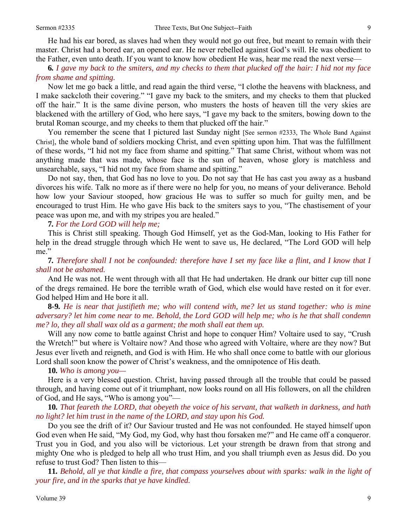He had his ear bored, as slaves had when they would not go out free, but meant to remain with their master. Christ had a bored ear, an opened ear. He never rebelled against God's will. He was obedient to the Father, even unto death. If you want to know how obedient He was, hear me read the next verse—

**6***. I gave my back to the smiters, and my checks to them that plucked off the hair: I hid not my face from shame and spitting.*

Now let me go back a little, and read again the third verse, "I clothe the heavens with blackness, and I make sackcloth their covering." "I gave my back to the smiters, and my checks to them that plucked off the hair." It is the same divine person, who musters the hosts of heaven till the very skies are blackened with the artillery of God, who here says, "I gave my back to the smiters, bowing down to the brutal Roman scourge, and my cheeks to them that plucked off the hair."

You remember the scene that I pictured last Sunday night [See sermon #2333, The Whole Band Against Christ], the whole band of soldiers mocking Christ, and even spitting upon him. That was the fulfillment of these words, "I hid not my face from shame and spitting." That same Christ, without whom was not anything made that was made, whose face is the sun of heaven, whose glory is matchless and unsearchable, says, "I hid not my face from shame and spitting."

Do not say, then, that God has no love to you. Do not say that He has cast you away as a husband divorces his wife. Talk no more as if there were no help for you, no means of your deliverance. Behold how low your Saviour stooped, how gracious He was to suffer so much for guilty men, and be encouraged to trust Him. He who gave His back to the smiters says to you, "The chastisement of your peace was upon me, and with my stripes you are healed."

#### **7***. For the Lord GOD will help me;*

This is Christ still speaking. Though God Himself, yet as the God-Man, looking to His Father for help in the dread struggle through which He went to save us, He declared, "The Lord GOD will help me."

**7***. Therefore shall I not be confounded: therefore have I set my face like a flint, and I know that I shall not be ashamed.* 

And He was not. He went through with all that He had undertaken. He drank our bitter cup till none of the dregs remained. He bore the terrible wrath of God, which else would have rested on it for ever. God helped Him and He bore it all.

**8***-***9***. He is near that justifieth me; who will contend with, me? let us stand together: who is mine adversary? let him come near to me. Behold, the Lord GOD will help me; who is he that shall condemn me? lo, they all shall wax old as a garment; the moth shall eat them up.*

Will any now come to battle against Christ and hope to conquer Him? Voltaire used to say, "Crush" the Wretch!" but where is Voltaire now? And those who agreed with Voltaire, where are they now? But Jesus ever liveth and reigneth, and God is with Him. He who shall once come to battle with our glorious Lord shall soon know the power of Christ's weakness, and the omnipotence of His death.

#### **10***. Who is among you—*

Here is a very blessed question. Christ, having passed through all the trouble that could be passed through, and having come out of it triumphant, now looks round on all His followers, on all the children of God, and He says, "Who is among you"—

**10***. That feareth the LORD, that obeyeth the voice of his servant, that walketh in darkness, and hath no light? let him trust in the name of the LORD, and stay upon his God.*

Do you see the drift of it? Our Saviour trusted and He was not confounded. He stayed himself upon God even when He said, "My God, my God, why hast thou forsaken me?" and He came off a conqueror. Trust you in God, and you also will be victorious. Let your strength be drawn from that strong and mighty One who is pledged to help all who trust Him, and you shall triumph even as Jesus did. Do you refuse to trust God? Then listen to this—

**11***. Behold, all ye that kindle a fire, that compass yourselves about with sparks: walk in the light of your fire, and in the sparks that ye have kindled.*